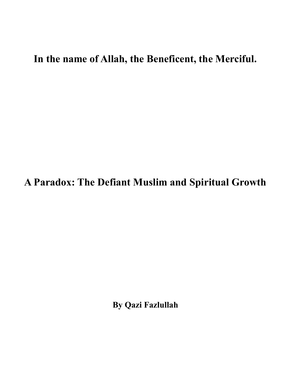## **In the name of Allah, the Beneficent, the Merciful.**

## **A Paradox: The Defiant Muslim and Spiritual Growth**

**By Qazi Fazlullah**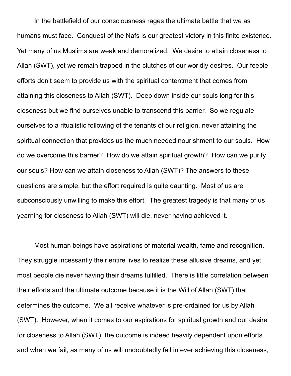In the battlefield of our consciousness rages the ultimate battle that we as humans must face. Conquest of the Nafs is our greatest victory in this finite existence. Yet many of us Muslims are weak and demoralized. We desire to attain closeness to Allah (SWT), yet we remain trapped in the clutches of our worldly desires. Our feeble efforts don't seem to provide us with the spiritual contentment that comes from attaining this closeness to Allah (SWT). Deep down inside our souls long for this closeness but we find ourselves unable to transcend this barrier. So we regulate ourselves to a ritualistic following of the tenants of our religion, never attaining the spiritual connection that provides us the much needed nourishment to our souls. How do we overcome this barrier? How do we attain spiritual growth? How can we purify our souls? How can we attain closeness to Allah (SWT)? The answers to these questions are simple, but the effort required is quite daunting. Most of us are subconsciously unwilling to make this effort. The greatest tragedy is that many of us yearning for closeness to Allah (SWT) will die, never having achieved it.

Most human beings have aspirations of material wealth, fame and recognition. They struggle incessantly their entire lives to realize these allusive dreams, and yet most people die never having their dreams fulfilled. There is little correlation between their efforts and the ultimate outcome because it is the Will of Allah (SWT) that determines the outcome. We all receive whatever is pre-ordained for us by Allah (SWT). However, when it comes to our aspirations for spiritual growth and our desire for closeness to Allah (SWT), the outcome is indeed heavily dependent upon efforts and when we fail, as many of us will undoubtedly fail in ever achieving this closeness,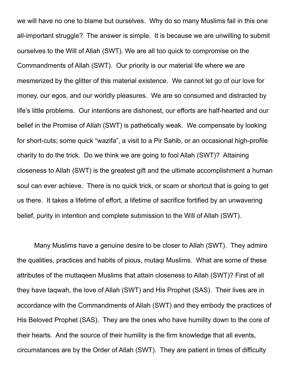we will have no one to blame but ourselves. Why do so many Muslims fail in this one all-important struggle? The answer is simple. It is because we are unwilling to submit ourselves to the Will of Allah (SWT). We are all too quick to compromise on the Commandments of Allah (SWT). Our priority is our material life where we are mesmerized by the glitter of this material existence. We cannot let go of our love for money, our egos, and our worldly pleasures. We are so consumed and distracted by life's little problems. Our intentions are dishonest, our efforts are half-hearted and our belief in the Promise of Allah (SWT) is pathetically weak. We compensate by looking for short-cuts; some quick "wazifa", a visit to a Pir Sahib, or an occasional high-profile charity to do the trick. Do we think we are going to fool Allah (SWT)? Attaining closeness to Allah (SWT) is the greatest gift and the ultimate accomplishment a human soul can ever achieve. There is no quick trick, or scam or shortcut that is going to get us there. It takes a lifetime of effort, a lifetime of sacrifice fortified by an unwavering belief, purity in intention and complete submission to the Will of Allah (SWT).

Many Muslims have a genuine desire to be closer to Allah (SWT). They admire the qualities, practices and habits of pious, mutaqi Muslims. What are some of these attributes of the muttaqeen Muslims that attain closeness to Allah (SWT)? First of all they have taqwah, the love of Allah (SWT) and His Prophet (SAS). Their lives are in accordance with the Commandments of Allah (SWT) and they embody the practices of His Beloved Prophet (SAS). They are the ones who have humility down to the core of their hearts. And the source of their humility is the firm knowledge that all events, circumstances are by the Order of Allah (SWT). They are patient in times of difficulty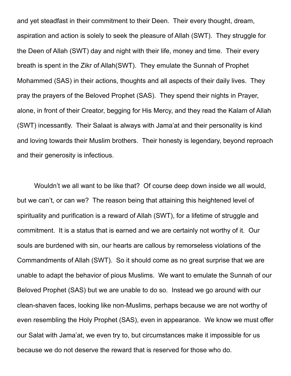and yet steadfast in their commitment to their Deen. Their every thought, dream, aspiration and action is solely to seek the pleasure of Allah (SWT). They struggle for the Deen of Allah (SWT) day and night with their life, money and time. Their every breath is spent in the Zikr of Allah(SWT). They emulate the Sunnah of Prophet Mohammed (SAS) in their actions, thoughts and all aspects of their daily lives. They pray the prayers of the Beloved Prophet (SAS). They spend their nights in Prayer, alone, in front of their Creator, begging for His Mercy, and they read the Kalam of Allah (SWT) incessantly. Their Salaat is always with Jama'at and their personality is kind and loving towards their Muslim brothers. Their honesty is legendary, beyond reproach and their generosity is infectious.

Wouldn't we all want to be like that? Of course deep down inside we all would, but we can't, or can we? The reason being that attaining this heightened level of spirituality and purification is a reward of Allah (SWT), for a lifetime of struggle and commitment. It is a status that is earned and we are certainly not worthy of it. Our souls are burdened with sin, our hearts are callous by remorseless violations of the Commandments of Allah (SWT). So it should come as no great surprise that we are unable to adapt the behavior of pious Muslims. We want to emulate the Sunnah of our Beloved Prophet (SAS) but we are unable to do so. Instead we go around with our clean-shaven faces, looking like non-Muslims, perhaps because we are not worthy of even resembling the Holy Prophet (SAS), even in appearance. We know we must offer our Salat with Jama'at, we even try to, but circumstances make it impossible for us because we do not deserve the reward that is reserved for those who do.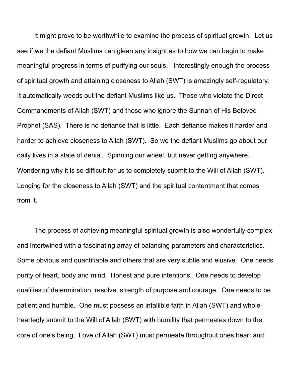It might prove to be worthwhile to examine the process of spiritual growth. Let us see if we the defiant Muslims can glean any insight as to how we can begin to make meaningful progress in terms of purifying our souls. Interestingly enough the process of spiritual growth and attaining closeness to Allah (SWT) is amazingly self-regulatory. It automatically weeds out the defiant Muslims like us. Those who violate the Direct Commandments of Allah (SWT) and those who ignore the Sunnah of His Beloved Prophet (SAS). There is no defiance that is little. Each defiance makes it harder and harder to achieve closeness to Allah (SWT). So we the defiant Muslims go about our daily lives in a state of denial. Spinning our wheel, but never getting anywhere. Wondering why it is so difficult for us to completely submit to the Will of Allah (SWT). Longing for the closeness to Allah (SWT) and the spiritual contentment that comes from it.

The process of achieving meaningful spiritual growth is also wonderfully complex and intertwined with a fascinating array of balancing parameters and characteristics. Some obvious and quantifiable and others that are very subtle and elusive. One needs purity of heart, body and mind. Honest and pure intentions. One needs to develop qualities of determination, resolve, strength of purpose and courage. One needs to be patient and humble. One must possess an infallible faith in Allah (SWT) and wholeheartedly submit to the Will of Allah (SWT) with humility that permeates down to the core of one's being. Love of Allah (SWT) must permeate throughout ones heart and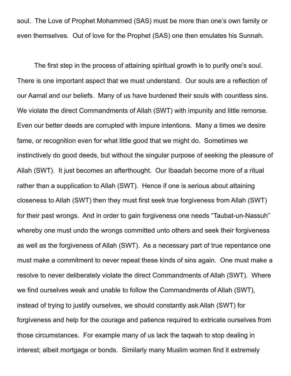soul. The Love of Prophet Mohammed (SAS) must be more than one's own family or even themselves. Out of love for the Prophet (SAS) one then emulates his Sunnah.

The first step in the process of attaining spiritual growth is to purify one's soul. There is one important aspect that we must understand. Our souls are a reflection of our Aamal and our beliefs. Many of us have burdened their souls with countless sins. We violate the direct Commandments of Allah (SWT) with impunity and little remorse. Even our better deeds are corrupted with impure intentions. Many a times we desire fame, or recognition even for what little good that we might do. Sometimes we instinctively do good deeds, but without the singular purpose of seeking the pleasure of Allah (SWT). It just becomes an afterthought. Our Ibaadah become more of a ritual rather than a supplication to Allah (SWT). Hence if one is serious about attaining closeness to Allah (SWT) then they must first seek true forgiveness from Allah (SWT) for their past wrongs. And in order to gain forgiveness one needs "Taubat-un-Nassuh" whereby one must undo the wrongs committed unto others and seek their forgiveness as well as the forgiveness of Allah (SWT). As a necessary part of true repentance one must make a commitment to never repeat these kinds of sins again. One must make a resolve to never deliberately violate the direct Commandments of Allah (SWT). Where we find ourselves weak and unable to follow the Commandments of Allah (SWT), instead of trying to justify ourselves, we should constantly ask Allah (SWT) for forgiveness and help for the courage and patience required to extricate ourselves from those circumstances. For example many of us lack the taqwah to stop dealing in interest; albeit mortgage or bonds. Similarly many Muslim women find it extremely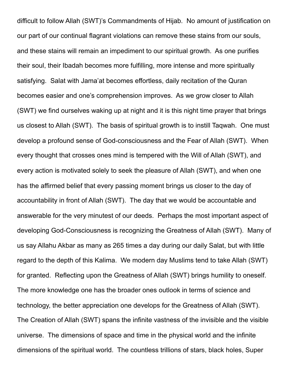difficult to follow Allah (SWT)'s Commandments of Hijab. No amount of justification on our part of our continual flagrant violations can remove these stains from our souls, and these stains will remain an impediment to our spiritual growth. As one purifies their soul, their Ibadah becomes more fulfilling, more intense and more spiritually satisfying. Salat with Jama'at becomes effortless, daily recitation of the Quran becomes easier and one's comprehension improves. As we grow closer to Allah (SWT) we find ourselves waking up at night and it is this night time prayer that brings us closest to Allah (SWT). The basis of spiritual growth is to instill Taqwah. One must develop a profound sense of God-consciousness and the Fear of Allah (SWT). When every thought that crosses ones mind is tempered with the Will of Allah (SWT), and every action is motivated solely to seek the pleasure of Allah (SWT), and when one has the affirmed belief that every passing moment brings us closer to the day of accountability in front of Allah (SWT). The day that we would be accountable and answerable for the very minutest of our deeds. Perhaps the most important aspect of developing God-Consciousness is recognizing the Greatness of Allah (SWT). Many of us say Allahu Akbar as many as 265 times a day during our daily Salat, but with little regard to the depth of this Kalima. We modern day Muslims tend to take Allah (SWT) for granted. Reflecting upon the Greatness of Allah (SWT) brings humility to oneself. The more knowledge one has the broader ones outlook in terms of science and technology, the better appreciation one develops for the Greatness of Allah (SWT). The Creation of Allah (SWT) spans the infinite vastness of the invisible and the visible universe. The dimensions of space and time in the physical world and the infinite dimensions of the spiritual world. The countless trillions of stars, black holes, Super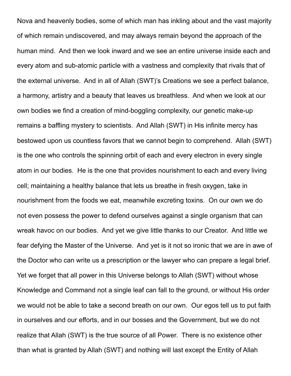Nova and heavenly bodies, some of which man has inkling about and the vast majority of which remain undiscovered, and may always remain beyond the approach of the human mind. And then we look inward and we see an entire universe inside each and every atom and sub-atomic particle with a vastness and complexity that rivals that of the external universe. And in all of Allah (SWT)'s Creations we see a perfect balance, a harmony, artistry and a beauty that leaves us breathless. And when we look at our own bodies we find a creation of mind-boggling complexity, our genetic make-up remains a baffling mystery to scientists. And Allah (SWT) in His infinite mercy has bestowed upon us countless favors that we cannot begin to comprehend. Allah (SWT) is the one who controls the spinning orbit of each and every electron in every single atom in our bodies. He is the one that provides nourishment to each and every living cell; maintaining a healthy balance that lets us breathe in fresh oxygen, take in nourishment from the foods we eat, meanwhile excreting toxins. On our own we do not even possess the power to defend ourselves against a single organism that can wreak havoc on our bodies. And yet we give little thanks to our Creator. And little we fear defying the Master of the Universe. And yet is it not so ironic that we are in awe of the Doctor who can write us a prescription or the lawyer who can prepare a legal brief. Yet we forget that all power in this Universe belongs to Allah (SWT) without whose Knowledge and Command not a single leaf can fall to the ground, or without His order we would not be able to take a second breath on our own. Our egos tell us to put faith in ourselves and our efforts, and in our bosses and the Government, but we do not realize that Allah (SWT) is the true source of all Power. There is no existence other than what is granted by Allah (SWT) and nothing will last except the Entity of Allah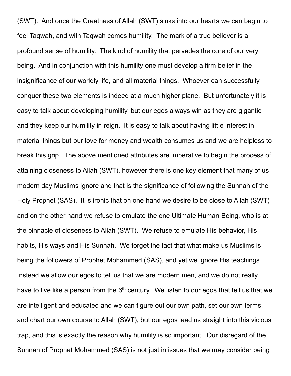(SWT). And once the Greatness of Allah (SWT) sinks into our hearts we can begin to feel Taqwah, and with Taqwah comes humility. The mark of a true believer is a profound sense of humility. The kind of humility that pervades the core of our very being. And in conjunction with this humility one must develop a firm belief in the insignificance of our worldly life, and all material things. Whoever can successfully conquer these two elements is indeed at a much higher plane. But unfortunately it is easy to talk about developing humility, but our egos always win as they are gigantic and they keep our humility in reign. It is easy to talk about having little interest in material things but our love for money and wealth consumes us and we are helpless to break this grip. The above mentioned attributes are imperative to begin the process of attaining closeness to Allah (SWT), however there is one key element that many of us modern day Muslims ignore and that is the significance of following the Sunnah of the Holy Prophet (SAS). It is ironic that on one hand we desire to be close to Allah (SWT) and on the other hand we refuse to emulate the one Ultimate Human Being, who is at the pinnacle of closeness to Allah (SWT). We refuse to emulate His behavior, His habits, His ways and His Sunnah. We forget the fact that what make us Muslims is being the followers of Prophet Mohammed (SAS), and yet we ignore His teachings. Instead we allow our egos to tell us that we are modern men, and we do not really have to live like a person from the  $6<sup>th</sup>$  century. We listen to our egos that tell us that we are intelligent and educated and we can figure out our own path, set our own terms, and chart our own course to Allah (SWT), but our egos lead us straight into this vicious trap, and this is exactly the reason why humility is so important. Our disregard of the Sunnah of Prophet Mohammed (SAS) is not just in issues that we may consider being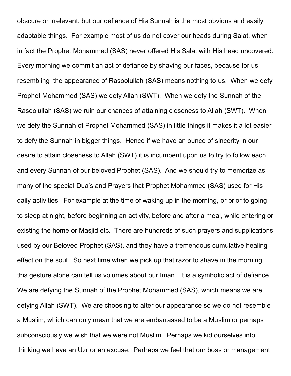obscure or irrelevant, but our defiance of His Sunnah is the most obvious and easily adaptable things. For example most of us do not cover our heads during Salat, when in fact the Prophet Mohammed (SAS) never offered His Salat with His head uncovered. Every morning we commit an act of defiance by shaving our faces, because for us resembling the appearance of Rasoolullah (SAS) means nothing to us. When we defy Prophet Mohammed (SAS) we defy Allah (SWT). When we defy the Sunnah of the Rasoolullah (SAS) we ruin our chances of attaining closeness to Allah (SWT). When we defy the Sunnah of Prophet Mohammed (SAS) in little things it makes it a lot easier to defy the Sunnah in bigger things. Hence if we have an ounce of sincerity in our desire to attain closeness to Allah (SWT) it is incumbent upon us to try to follow each and every Sunnah of our beloved Prophet (SAS). And we should try to memorize as many of the special Dua's and Prayers that Prophet Mohammed (SAS) used for His daily activities. For example at the time of waking up in the morning, or prior to going to sleep at night, before beginning an activity, before and after a meal, while entering or existing the home or Masjid etc. There are hundreds of such prayers and supplications used by our Beloved Prophet (SAS), and they have a tremendous cumulative healing effect on the soul. So next time when we pick up that razor to shave in the morning, this gesture alone can tell us volumes about our Iman. It is a symbolic act of defiance. We are defying the Sunnah of the Prophet Mohammed (SAS), which means we are defying Allah (SWT). We are choosing to alter our appearance so we do not resemble a Muslim, which can only mean that we are embarrassed to be a Muslim or perhaps subconsciously we wish that we were not Muslim. Perhaps we kid ourselves into thinking we have an Uzr or an excuse. Perhaps we feel that our boss or management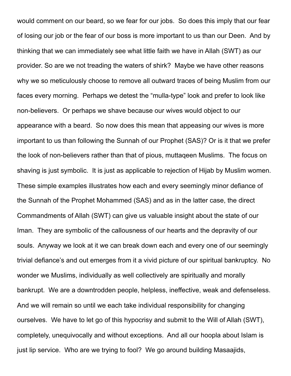would comment on our beard, so we fear for our jobs. So does this imply that our fear of losing our job or the fear of our boss is more important to us than our Deen. And by thinking that we can immediately see what little faith we have in Allah (SWT) as our provider. So are we not treading the waters of shirk? Maybe we have other reasons why we so meticulously choose to remove all outward traces of being Muslim from our faces every morning. Perhaps we detest the "mulla-type" look and prefer to look like non-believers. Or perhaps we shave because our wives would object to our appearance with a beard. So now does this mean that appeasing our wives is more important to us than following the Sunnah of our Prophet (SAS)? Or is it that we prefer the look of non-believers rather than that of pious, muttaqeen Muslims. The focus on shaving is just symbolic. It is just as applicable to rejection of Hijab by Muslim women. These simple examples illustrates how each and every seemingly minor defiance of the Sunnah of the Prophet Mohammed (SAS) and as in the latter case, the direct Commandments of Allah (SWT) can give us valuable insight about the state of our Iman. They are symbolic of the callousness of our hearts and the depravity of our souls. Anyway we look at it we can break down each and every one of our seemingly trivial defiance's and out emerges from it a vivid picture of our spiritual bankruptcy. No wonder we Muslims, individually as well collectively are spiritually and morally bankrupt. We are a downtrodden people, helpless, ineffective, weak and defenseless. And we will remain so until we each take individual responsibility for changing ourselves. We have to let go of this hypocrisy and submit to the Will of Allah (SWT), completely, unequivocally and without exceptions. And all our hoopla about Islam is just lip service. Who are we trying to fool? We go around building Masaajids,